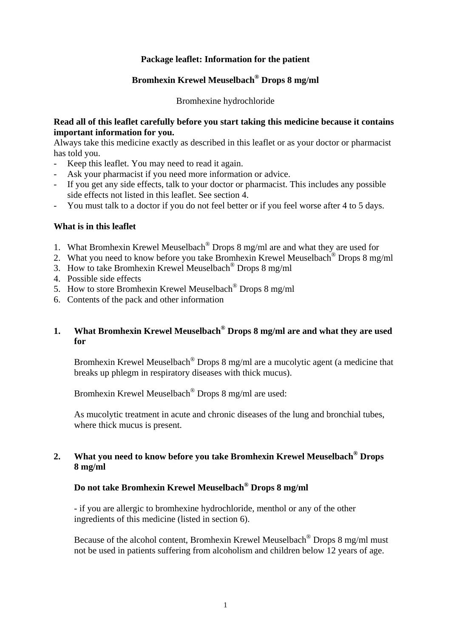### **Package leaflet: Information for the patient**

# **Bromhexin Krewel Meuselbach® Drops 8 mg/ml**

Bromhexine hydrochloride

#### **Read all of this leaflet carefully before you start taking this medicine because it contains important information for you.**

Always take this medicine exactly as described in this leaflet or as your doctor or pharmacist has told you.

- Keep this leaflet. You may need to read it again.
- Ask your pharmacist if you need more information or advice.
- If you get any side effects, talk to your doctor or pharmacist. This includes any possible side effects not listed in this leaflet. See section 4.
- You must talk to a doctor if you do not feel better or if you feel worse after 4 to 5 days.

#### **What is in this leaflet**

- 1. What Bromhexin Krewel Meuselbach® Drops 8 mg/ml are and what they are used for
- 2. What you need to know before you take Bromhexin Krewel Meuselbach<sup>®</sup> Drops 8 mg/ml
- 3. How to take Bromhexin Krewel Meuselbach® Drops 8 mg/ml
- 4. Possible side effects
- 5. How to store Bromhexin Krewel Meuselbach® Drops 8 mg/ml
- 6. Contents of the pack and other information

### **1. What Bromhexin Krewel Meuselbach® Drops 8 mg/ml are and what they are used for**

Bromhexin Krewel Meuselbach<sup>®</sup> Drops 8 mg/ml are a mucolytic agent (a medicine that breaks up phlegm in respiratory diseases with thick mucus).

Bromhexin Krewel Meuselbach® Drops 8 mg/ml are used:

 As mucolytic treatment in acute and chronic diseases of the lung and bronchial tubes, where thick mucus is present.

## **2. What you need to know before you take Bromhexin Krewel Meuselbach® Drops 8 mg/ml**

## **Do not take Bromhexin Krewel Meuselbach® Drops 8 mg/ml**

 - if you are allergic to bromhexine hydrochloride, menthol or any of the other ingredients of this medicine (listed in section 6).

 Because of the alcohol content, Bromhexin Krewel Meuselbach® Drops 8 mg/ml must not be used in patients suffering from alcoholism and children below 12 years of age.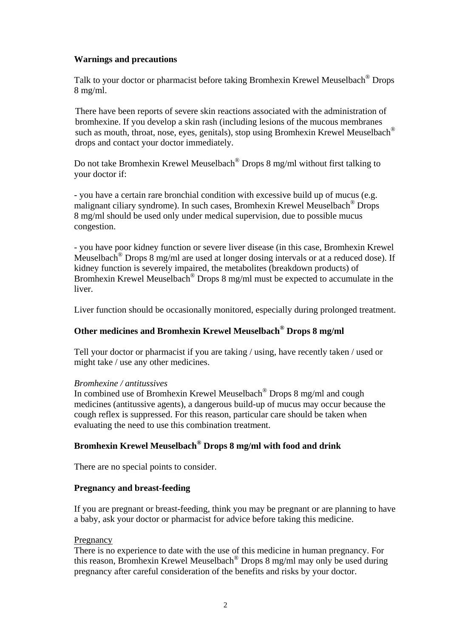### **Warnings and precautions**

 Talk to your doctor or pharmacist before taking Bromhexin Krewel Meuselbach® Drops 8 mg/ml.

 There have been reports of severe skin reactions associated with the administration of bromhexine. If you develop a skin rash (including lesions of the mucous membranes such as mouth, throat, nose, eyes, genitals), stop using Bromhexin Krewel Meuselbach® drops and contact your doctor immediately.

Do not take Bromhexin Krewel Meuselbach<sup>®</sup> Drops 8 mg/ml without first talking to your doctor if:

 - you have a certain rare bronchial condition with excessive build up of mucus (e.g. malignant ciliary syndrome). In such cases, Bromhexin Krewel Meuselbach® Drops 8 mg/ml should be used only under medical supervision, due to possible mucus congestion.

 - you have poor kidney function or severe liver disease (in this case, Bromhexin Krewel Meuselbach® Drops 8 mg/ml are used at longer dosing intervals or at a reduced dose). If kidney function is severely impaired, the metabolites (breakdown products) of Bromhexin Krewel Meuselbach<sup>®</sup> Drops 8 mg/ml must be expected to accumulate in the liver.

Liver function should be occasionally monitored, especially during prolonged treatment.

## **Other medicines and Bromhexin Krewel Meuselbach® Drops 8 mg/ml**

 Tell your doctor or pharmacist if you are taking / using, have recently taken / used or might take / use any other medicines.

#### *Bromhexine / antitussives*

 In combined use of Bromhexin Krewel Meuselbach® Drops 8 mg/ml and cough medicines (antitussive agents), a dangerous build-up of mucus may occur because the cough reflex is suppressed. For this reason, particular care should be taken when evaluating the need to use this combination treatment.

## **Bromhexin Krewel Meuselbach® Drops 8 mg/ml with food and drink**

There are no special points to consider.

### **Pregnancy and breast-feeding**

 If you are pregnant or breast-feeding, think you may be pregnant or are planning to have a baby, ask your doctor or pharmacist for advice before taking this medicine.

### Pregnancy

 There is no experience to date with the use of this medicine in human pregnancy. For this reason, Bromhexin Krewel Meuselbach® Drops 8 mg/ml may only be used during pregnancy after careful consideration of the benefits and risks by your doctor.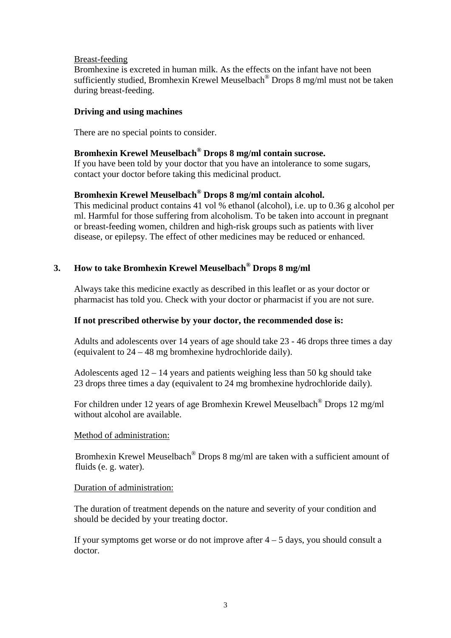#### Breast-feeding

 Bromhexine is excreted in human milk. As the effects on the infant have not been sufficiently studied, Bromhexin Krewel Meuselbach® Drops 8 mg/ml must not be taken during breast-feeding.

#### **Driving and using machines**

There are no special points to consider.

## **Bromhexin Krewel Meuselbach® Drops 8 mg/ml contain sucrose.**

 If you have been told by your doctor that you have an intolerance to some sugars, contact your doctor before taking this medicinal product.

## **Bromhexin Krewel Meuselbach® Drops 8 mg/ml contain alcohol.**

This medicinal product contains 41 vol % ethanol (alcohol), i.e. up to 0.36 g alcohol per ml. Harmful for those suffering from alcoholism. To be taken into account in pregnant or breast-feeding women, children and high-risk groups such as patients with liver disease, or epilepsy. The effect of other medicines may be reduced or enhanced.

## **3. How to take Bromhexin Krewel Meuselbach® Drops 8 mg/ml**

 Always take this medicine exactly as described in this leaflet or as your doctor or pharmacist has told you. Check with your doctor or pharmacist if you are not sure.

### **If not prescribed otherwise by your doctor, the recommended dose is:**

 Adults and adolescents over 14 years of age should take 23 - 46 drops three times a day (equivalent to 24 – 48 mg bromhexine hydrochloride daily).

Adolescents aged  $12 - 14$  years and patients weighing less than 50 kg should take 23 drops three times a day (equivalent to 24 mg bromhexine hydrochloride daily).

 For children under 12 years of age Bromhexin Krewel Meuselbach® Drops 12 mg/ml without alcohol are available.

#### Method of administration:

 Bromhexin Krewel Meuselbach® Drops 8 mg/ml are taken with a sufficient amount of fluids (e. g. water).

#### Duration of administration:

 The duration of treatment depends on the nature and severity of your condition and should be decided by your treating doctor.

If your symptoms get worse or do not improve after  $4 - 5$  days, you should consult a doctor.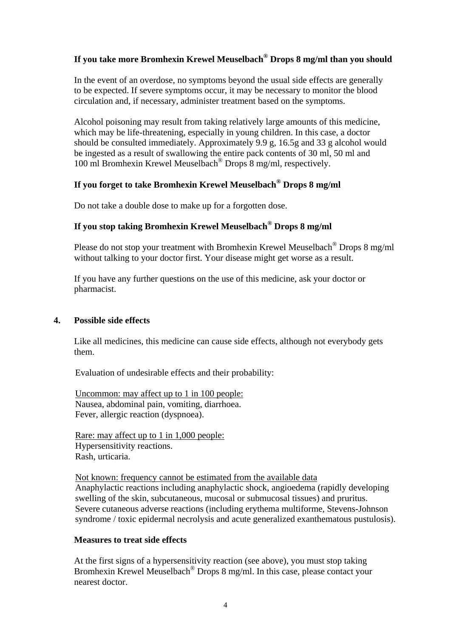## **If you take more Bromhexin Krewel Meuselbach® Drops 8 mg/ml than you should**

 In the event of an overdose, no symptoms beyond the usual side effects are generally to be expected. If severe symptoms occur, it may be necessary to monitor the blood circulation and, if necessary, administer treatment based on the symptoms.

 Alcohol poisoning may result from taking relatively large amounts of this medicine, which may be life-threatening, especially in young children. In this case, a doctor should be consulted immediately. Approximately 9.9 g, 16.5g and 33 g alcohol would be ingested as a result of swallowing the entire pack contents of 30 ml, 50 ml and 100 ml Bromhexin Krewel Meuselbach® Drops 8 mg/ml, respectively.

## **If you forget to take Bromhexin Krewel Meuselbach® Drops 8 mg/ml**

Do not take a double dose to make up for a forgotten dose.

### **If you stop taking Bromhexin Krewel Meuselbach® Drops 8 mg/ml**

 Please do not stop your treatment with Bromhexin Krewel Meuselbach® Drops 8 mg/ml without talking to your doctor first. Your disease might get worse as a result.

 If you have any further questions on the use of this medicine, ask your doctor or pharmacist.

### **4. Possible side effects**

 Like all medicines, this medicine can cause side effects, although not everybody gets them.

Evaluation of undesirable effects and their probability:

 Uncommon: may affect up to 1 in 100 people: Nausea, abdominal pain, vomiting, diarrhoea. Fever, allergic reaction (dyspnoea).

 Rare: may affect up to 1 in 1,000 people: Hypersensitivity reactions. Rash, urticaria.

 Not known: frequency cannot be estimated from the available data Anaphylactic reactions including anaphylactic shock, angioedema (rapidly developing swelling of the skin, subcutaneous, mucosal or submucosal tissues) and pruritus. Severe cutaneous adverse reactions (including erythema multiforme, Stevens-Johnson syndrome / toxic epidermal necrolysis and acute generalized exanthematous pustulosis).

### **Measures to treat side effects**

 At the first signs of a hypersensitivity reaction (see above), you must stop taking Bromhexin Krewel Meuselbach® Drops 8 mg/ml. In this case, please contact your nearest doctor.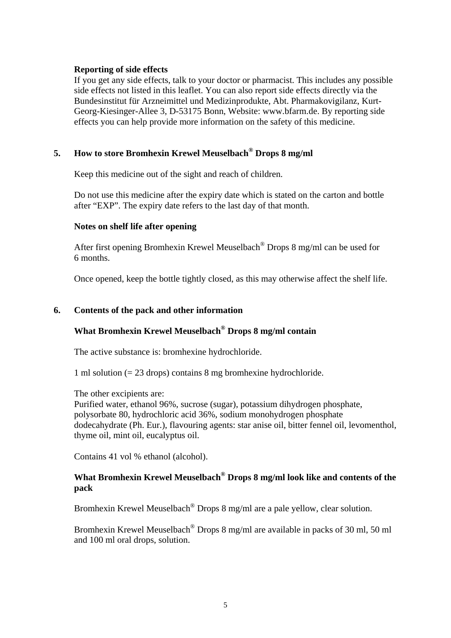#### **Reporting of side effects**

 If you get any side effects, talk to your doctor or pharmacist. This includes any possible side effects not listed in this leaflet. You can also report side effects directly via the Bundesinstitut für Arzneimittel und Medizinprodukte, Abt. Pharmakovigilanz, Kurt-Georg-Kiesinger-Allee 3, D-53175 Bonn, Website: www.bfarm.de. By reporting side effects you can help provide more information on the safety of this medicine.

### **5. How to store Bromhexin Krewel Meuselbach® Drops 8 mg/ml**

Keep this medicine out of the sight and reach of children.

 Do not use this medicine after the expiry date which is stated on the carton and bottle after "EXP". The expiry date refers to the last day of that month.

#### **Notes on shelf life after opening**

 After first opening Bromhexin Krewel Meuselbach® Drops 8 mg/ml can be used for 6 months.

Once opened, keep the bottle tightly closed, as this may otherwise affect the shelf life.

### **6. Contents of the pack and other information**

## **What Bromhexin Krewel Meuselbach® Drops 8 mg/ml contain**

The active substance is: bromhexine hydrochloride.

1 ml solution (= 23 drops) contains 8 mg bromhexine hydrochloride.

The other excipients are:

 Purified water, ethanol 96%, sucrose (sugar), potassium dihydrogen phosphate, polysorbate 80, hydrochloric acid 36%, sodium monohydrogen phosphate dodecahydrate (Ph. Eur.), flavouring agents: star anise oil, bitter fennel oil, levomenthol, thyme oil, mint oil, eucalyptus oil.

Contains 41 vol % ethanol (alcohol).

## **What Bromhexin Krewel Meuselbach® Drops 8 mg/ml look like and contents of the pack**

Bromhexin Krewel Meuselbach® Drops 8 mg/ml are a pale yellow, clear solution.

 Bromhexin Krewel Meuselbach® Drops 8 mg/ml are available in packs of 30 ml, 50 ml and 100 ml oral drops, solution.